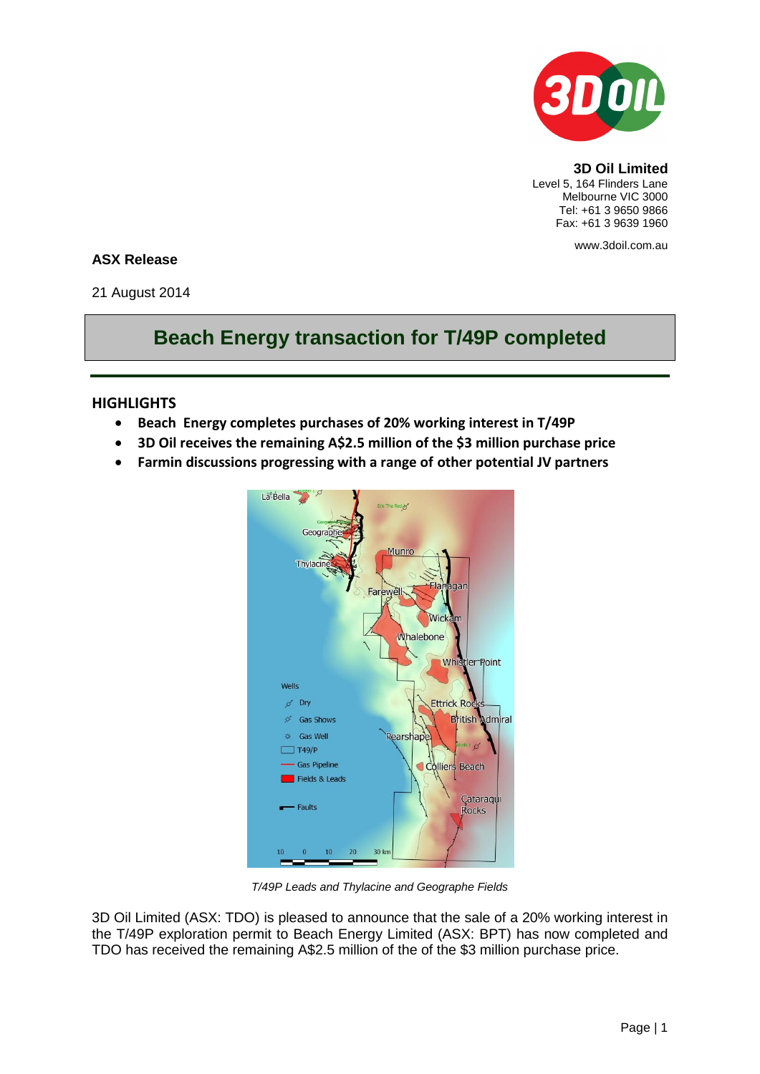

**3D Oil Limited** Level 5, 164 Flinders Lane Melbourne VIC 3000 Tel: +61 3 9650 9866 Fax: +61 3 9639 1960

www.3doil.com.au

## **ASX Release**

21 August 2014

## **Beach Energy transaction for T/49P completed**

## **HIGHLIGHTS**

- **Beach Energy completes purchases of 20% working interest in T/49P**
- **3D Oil receives the remaining A\$2.5 million of the \$3 million purchase price**
- **Farmin discussions progressing with a range of other potential JV partners**



*T/49P Leads and Thylacine and Geographe Fields*

3D Oil Limited (ASX: TDO) is pleased to announce that the sale of a 20% working interest in the T/49P exploration permit to Beach Energy Limited (ASX: BPT) has now completed and TDO has received the remaining A\$2.5 million of the of the \$3 million purchase price.